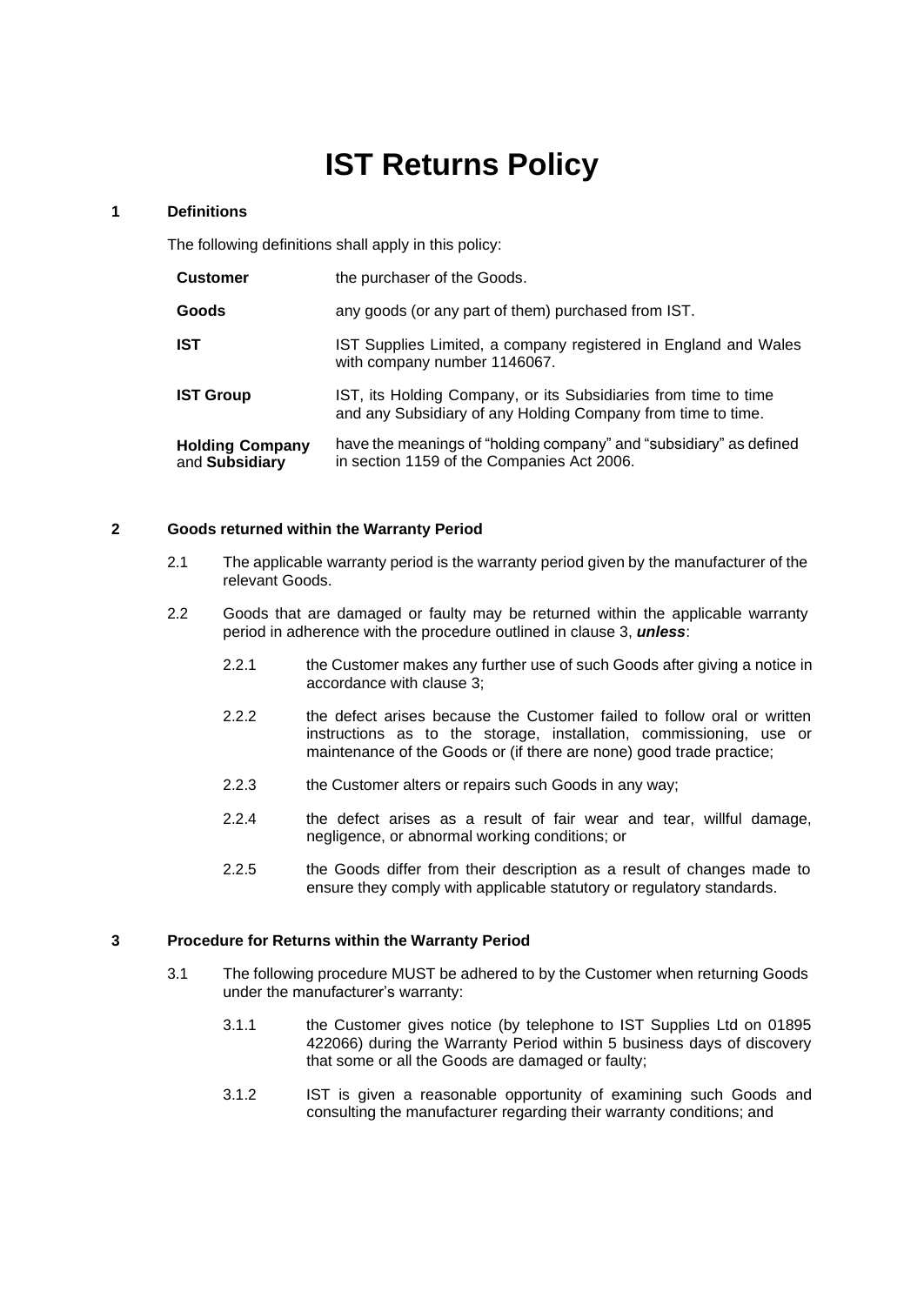# **IST Returns Policy**

## **1 Definitions**

The following definitions shall apply in this policy:

| <b>Customer</b>                          | the purchaser of the Goods.                                                                                                     |
|------------------------------------------|---------------------------------------------------------------------------------------------------------------------------------|
| Goods                                    | any goods (or any part of them) purchased from IST.                                                                             |
| <b>IST</b>                               | IST Supplies Limited, a company registered in England and Wales<br>with company number 1146067.                                 |
| <b>IST Group</b>                         | IST, its Holding Company, or its Subsidiaries from time to time<br>and any Subsidiary of any Holding Company from time to time. |
| <b>Holding Company</b><br>and Subsidiary | have the meanings of "holding company" and "subsidiary" as defined<br>in section 1159 of the Companies Act 2006.                |

# **2 Goods returned within the Warranty Period**

- 2.1 The applicable warranty period is the warranty period given by the manufacturer of the relevant Goods.
- 2.2 Goods that are damaged or faulty may be returned within the applicable warranty period in adherence with the procedure outlined in clause 3, *unless*:
	- 2.2.1 the Customer makes any further use of such Goods after giving a notice in accordance with clause 3;
	- 2.2.2 the defect arises because the Customer failed to follow oral or written instructions as to the storage, installation, commissioning, use or maintenance of the Goods or (if there are none) good trade practice;
	- 2.2.3 the Customer alters or repairs such Goods in any way;
	- 2.2.4 the defect arises as a result of fair wear and tear, willful damage, negligence, or abnormal working conditions; or
	- 2.2.5 the Goods differ from their description as a result of changes made to ensure they comply with applicable statutory or regulatory standards.

# **3 Procedure for Returns within the Warranty Period**

- 3.1 The following procedure MUST be adhered to by the Customer when returning Goods under the manufacturer's warranty:
	- 3.1.1 the Customer gives notice (by telephone to IST Supplies Ltd on 01895 422066) during the Warranty Period within 5 business days of discovery that some or all the Goods are damaged or faulty;
	- 3.1.2 IST is given a reasonable opportunity of examining such Goods and consulting the manufacturer regarding their warranty conditions; and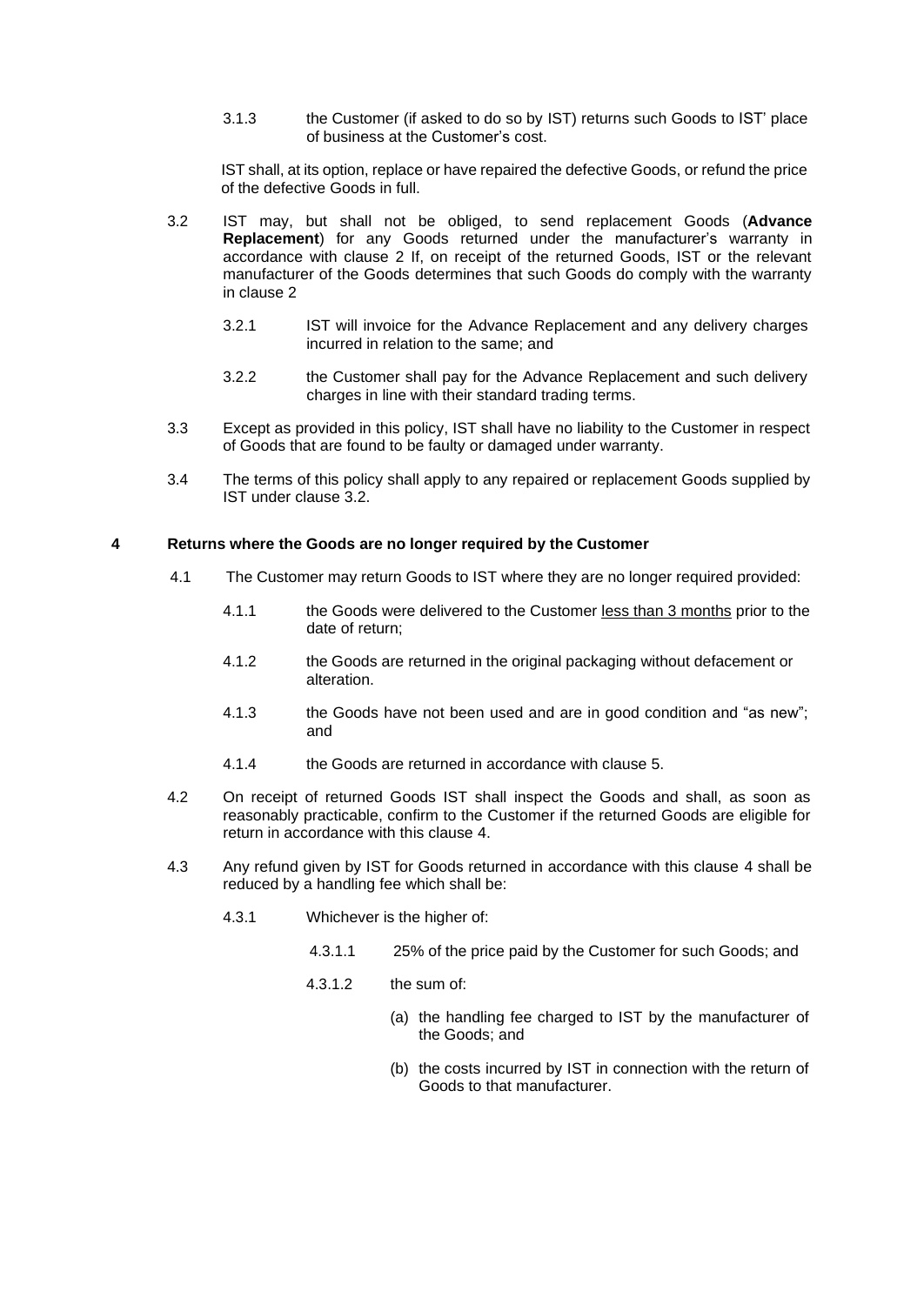3.1.3 the Customer (if asked to do so by IST) returns such Goods to IST' place of business at the Customer's cost.

IST shall, at its option, replace or have repaired the defective Goods, or refund the price of the defective Goods in full.

- 3.2 IST may, but shall not be obliged, to send replacement Goods (**Advance Replacement**) for any Goods returned under the manufacturer's warranty in accordance with clause 2 If, on receipt of the returned Goods, IST or the relevant manufacturer of the Goods determines that such Goods do comply with the warranty in clause 2
	- 3.2.1 IST will invoice for the Advance Replacement and any delivery charges incurred in relation to the same; and
	- 3.2.2 the Customer shall pay for the Advance Replacement and such delivery charges in line with their standard trading terms.
- 3.3 Except as provided in this policy, IST shall have no liability to the Customer in respect of Goods that are found to be faulty or damaged under warranty.
- 3.4 The terms of this policy shall apply to any repaired or replacement Goods supplied by IST under clause 3.2.

#### <span id="page-1-0"></span>**4 Returns where the Goods are no longer required by the Customer**

- 4.1 The Customer may return Goods to IST where they are no longer required provided:
	- 4.1.1 the Goods were delivered to the Customer less than 3 months prior to the date of return;
	- 4.1.2 the Goods are returned in the original packaging without defacement or alteration.
	- 4.1.3 the Goods have not been used and are in good condition and "as new"; and
	- 4.1.4 the Goods are returned in accordance with clause [5.](#page-3-0)
- 4.2 On receipt of returned Goods IST shall inspect the Goods and shall, as soon as reasonably practicable, confirm to the Customer if the returned Goods are eligible for return in accordance with this clause [4.](#page-1-0)
- 4.3 Any refund given by IST for Goods returned in accordance with this clause [4 s](#page-1-0)hall be reduced by a handling fee which shall be:
	- 4.3.1 Whichever is the higher of:
		- 4.3.1.1 25% of the price paid by the Customer for such Goods; and
		- 4.3.1.2 the sum of:
			- (a) the handling fee charged to IST by the manufacturer of the Goods; and
			- (b) the costs incurred by IST in connection with the return of Goods to that manufacturer.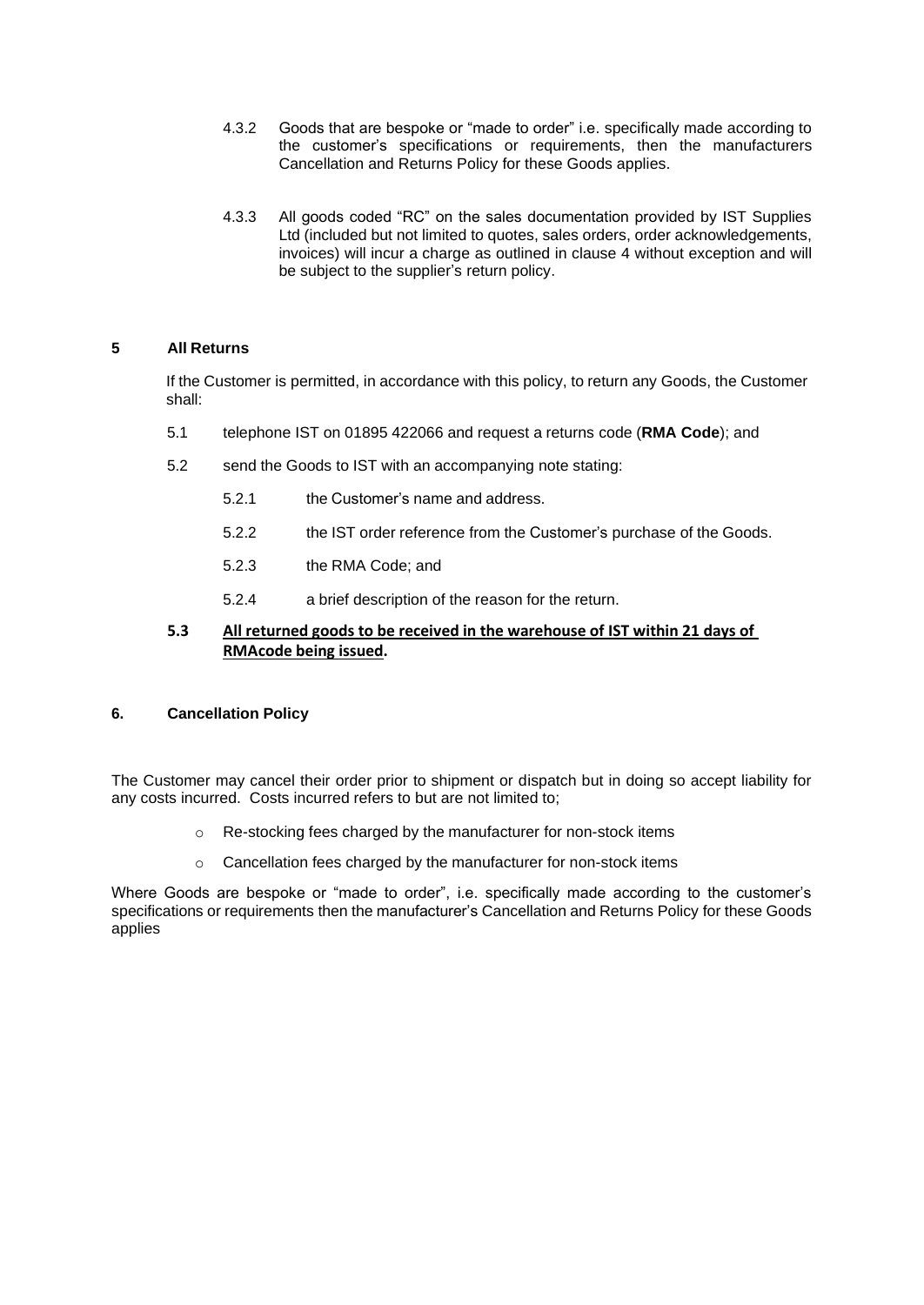- 4.3.2 Goods that are bespoke or "made to order" i.e. specifically made according to the customer's specifications or requirements, then the manufacturers Cancellation and Returns Policy for these Goods applies.
- 4.3.3 All goods coded "RC" on the sales documentation provided by IST Supplies Ltd (included but not limited to quotes, sales orders, order acknowledgements, invoices) will incur a charge as outlined in clause 4 without exception and will be subject to the supplier's return policy.

# **5 All Returns**

If the Customer is permitted, in accordance with this policy, to return any Goods, the Customer shall:

- 5.1 telephone IST on 01895 422066 and request a returns code (**RMA Code**); and
- 5.2 send the Goods to IST with an accompanying note stating:
	- 5.2.1 the Customer's name and address.
	- 5.2.2 the IST order reference from the Customer's purchase of the Goods.
	- 5.2.3 the RMA Code; and
	- 5.2.4 a brief description of the reason for the return.

# **5.3 All returned goods to be received in the warehouse of IST within 21 days of RMAcode being issued.**

# **6. Cancellation Policy**

The Customer may cancel their order prior to shipment or dispatch but in doing so accept liability for any costs incurred. Costs incurred refers to but are not limited to;

- o Re-stocking fees charged by the manufacturer for non-stock items
- o Cancellation fees charged by the manufacturer for non-stock items

Where Goods are bespoke or "made to order", i.e. specifically made according to the customer's specifications or requirements then the manufacturer's Cancellation and Returns Policy for these Goods applies